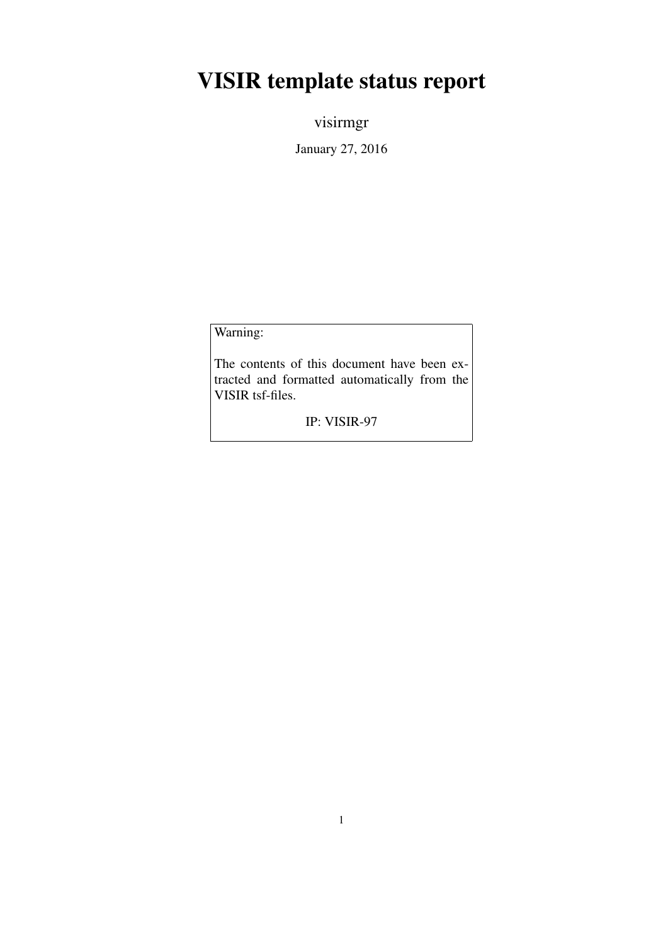## VISIR template status report

visirmgr

January 27, 2016

Warning:

The contents of this document have been extracted and formatted automatically from the VISIR tsf-files.

IP: VISIR-97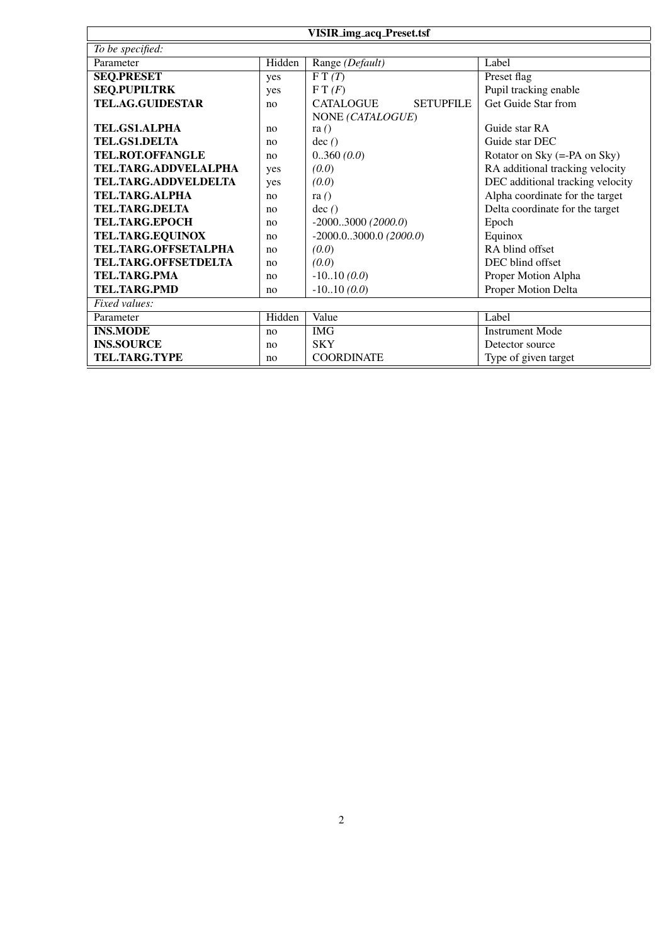| <b>VISIR_img_acq_Preset.tsf</b> |                |                                      |                                  |  |
|---------------------------------|----------------|--------------------------------------|----------------------------------|--|
| To be specified:                |                |                                      |                                  |  |
| Parameter                       | Hidden         | Range (Default)                      | Label                            |  |
| <b>SEQ.PRESET</b>               | yes            | $\overline{FT}(T)$                   | Preset flag                      |  |
| <b>SEQ.PUPILTRK</b>             | yes            | F T(F)                               | Pupil tracking enable            |  |
| <b>TEL.AG.GUIDESTAR</b>         | no             | <b>CATALOGUE</b><br><b>SETUPFILE</b> | Get Guide Star from              |  |
|                                 |                | NONE (CATALOGUE)                     |                                  |  |
| <b>TEL.GS1.ALPHA</b>            | no             | ra $()$                              | Guide star RA                    |  |
| <b>TEL.GS1.DELTA</b>            | no             | dec()                                | Guide star DEC                   |  |
| TEL.ROT.OFFANGLE                | no             | 0.360(0.0)                           | Rotator on Sky (=-PA on Sky)     |  |
| TEL.TARG.ADDVELALPHA            | yes            | (0.0)                                | RA additional tracking velocity  |  |
| TEL.TARG.ADDVELDELTA            | yes            | (0.0)                                | DEC additional tracking velocity |  |
| <b>TEL.TARG.ALPHA</b>           | n <sub>0</sub> | ra $()$                              | Alpha coordinate for the target  |  |
| <b>TEL.TARG.DELTA</b>           | no             | dec()                                | Delta coordinate for the target  |  |
| <b>TEL.TARG.EPOCH</b>           | no             | $-20003000(2000.0)$                  | Epoch                            |  |
| TEL.TARG.EQUINOX                | no             | $-2000.03000.0(2000.0)$              | Equinox                          |  |
| TEL.TARG.OFFSETALPHA            | no             | (0.0)                                | RA blind offset                  |  |
| TEL.TARG.OFFSETDELTA            | no             | (0.0)                                | DEC blind offset                 |  |
| <b>TEL.TARG.PMA</b>             | no             | $-1010(0.0)$                         | Proper Motion Alpha              |  |
| <b>TEL.TARG.PMD</b>             | no             | $-1010(0.0)$                         | Proper Motion Delta              |  |
| Fixed values:                   |                |                                      |                                  |  |
| Parameter                       | Hidden         | Value                                | Label                            |  |
| <b>INS.MODE</b>                 | no             | <b>IMG</b>                           | <b>Instrument Mode</b>           |  |
| <b>INS.SOURCE</b>               | no             | <b>SKY</b>                           | Detector source                  |  |
| TEL.TARG.TYPE                   | no             | <b>COORDINATE</b>                    | Type of given target             |  |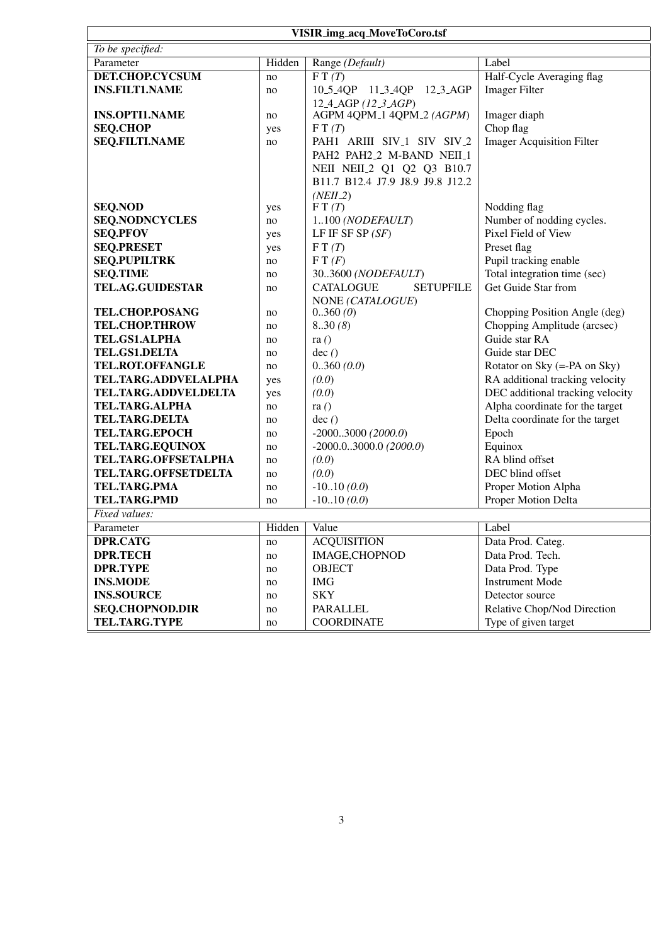| <b>VISIR_img_acq_MoveToCoro.tsf</b>        |          |                                                            |                                                       |
|--------------------------------------------|----------|------------------------------------------------------------|-------------------------------------------------------|
| To be specified:                           |          |                                                            |                                                       |
| Parameter                                  | Hidden   | Range (Default)                                            | Label                                                 |
| <b>DET.CHOP.CYCSUM</b>                     | no       | $\overline{F}T(T)$                                         | Half-Cycle Averaging flag                             |
| <b>INS.FILT1.NAME</b>                      | no       | 10_5_4QP 11_3_4QP<br>$12.3 \text{ AGP}$                    | <b>Imager Filter</b>                                  |
|                                            |          | 12 <sub>-4</sub> -AGP (12 <sub>-3</sub> -AGP)              |                                                       |
| <b>INS.OPTI1.NAME</b>                      | no       | AGPM 4QPM_1 4QPM_2 (AGPM)                                  | Imager diaph                                          |
| <b>SEQ.CHOP</b>                            | yes      | F T(T)                                                     | Chop flag                                             |
| <b>SEQ.FILTI.NAME</b>                      | no       | PAH1 ARIII SIV <sub>-1</sub> SIV SIV <sub>-2</sub>         | <b>Imager Acquisition Filter</b>                      |
|                                            |          | PAH2 PAH2_2 M-BAND NEII_1                                  |                                                       |
|                                            |          | NEII NEII <sub>-2</sub> Q1 Q2 Q3 B10.7                     |                                                       |
|                                            |          | B11.7 B12.4 J7.9 J8.9 J9.8 J12.2                           |                                                       |
|                                            |          | $(NEII_2)$                                                 |                                                       |
| <b>SEQ.NOD</b>                             | yes      | FT(T)                                                      | Nodding flag                                          |
| <b>SEQ.NODNCYCLES</b>                      | no       | 1100 (NODEFAULT)                                           | Number of nodding cycles.                             |
| <b>SEQ.PFOV</b>                            | yes      | LF IF SF SP $(SF)$                                         | Pixel Field of View                                   |
| <b>SEQ.PRESET</b>                          | yes      | FT(T)                                                      | Preset flag                                           |
| <b>SEQ.PUPILTRK</b>                        | no       | F T(F)                                                     | Pupil tracking enable<br>Total integration time (sec) |
| <b>SEQ.TIME</b><br><b>TEL.AG.GUIDESTAR</b> | no       | 303600 (NODEFAULT)<br><b>CATALOGUE</b><br><b>SETUPFILE</b> | Get Guide Star from                                   |
|                                            | no       | NONE (CATALOGUE)                                           |                                                       |
| TEL.CHOP.POSANG                            | no       | 0.360(0)                                                   | Chopping Position Angle (deg)                         |
| <b>TEL.CHOP.THROW</b>                      | no       | 8.30(8)                                                    | Chopping Amplitude (arcsec)                           |
| TEL.GS1.ALPHA                              | no       | ra $()$                                                    | Guide star RA                                         |
| <b>TEL.GS1.DELTA</b>                       | no       | dec()                                                      | Guide star DEC                                        |
| TEL.ROT.OFFANGLE                           | no       | 0.360(0.0)                                                 | Rotator on Sky (=-PA on Sky)                          |
| TEL.TARG.ADDVELALPHA                       | yes      | (0.0)                                                      | RA additional tracking velocity                       |
| TEL.TARG.ADDVELDELTA                       | yes      | (0.0)                                                      | DEC additional tracking velocity                      |
| <b>TEL.TARG.ALPHA</b>                      | no       | ra $()$                                                    | Alpha coordinate for the target                       |
| <b>TEL.TARG.DELTA</b>                      | no       | dec()                                                      | Delta coordinate for the target                       |
| <b>TEL.TARG.EPOCH</b>                      | no       | $-20003000(2000.0)$                                        | Epoch                                                 |
| TEL.TARG.EQUINOX                           | no       | $-2000.03000.0$ (2000.0)                                   | Equinox                                               |
| TEL.TARG.OFFSETALPHA                       | no       | (0.0)                                                      | RA blind offset                                       |
| TEL.TARG.OFFSETDELTA                       | no       | (0.0)                                                      | DEC blind offset                                      |
| TEL.TARG.PMA                               | no       | $-1010(0.0)$                                               | Proper Motion Alpha                                   |
| <b>TEL.TARG.PMD</b>                        | no       | $-1010(0.0)$                                               | Proper Motion Delta                                   |
| Fixed values:                              |          |                                                            |                                                       |
| Parameter                                  | Hidden   | Value                                                      | Label                                                 |
| DPR.CATG                                   | no       | <b>ACQUISITION</b>                                         | Data Prod. Categ.                                     |
| <b>DPR.TECH</b>                            | no       | <b>IMAGE,CHOPNOD</b>                                       | Data Prod. Tech.                                      |
| <b>DPR.TYPE</b>                            | no       | <b>OBJECT</b>                                              | Data Prod. Type                                       |
| <b>INS.MODE</b>                            | no       | <b>IMG</b>                                                 | <b>Instrument Mode</b>                                |
| <b>INS.SOURCE</b>                          | no       | <b>SKY</b>                                                 | Detector source                                       |
| <b>SEQ.CHOPNOD.DIR</b>                     | no       | PARALLEL                                                   | Relative Chop/Nod Direction                           |
| TEL.TARG.TYPE                              | $\rm no$ | <b>COORDINATE</b>                                          | Type of given target                                  |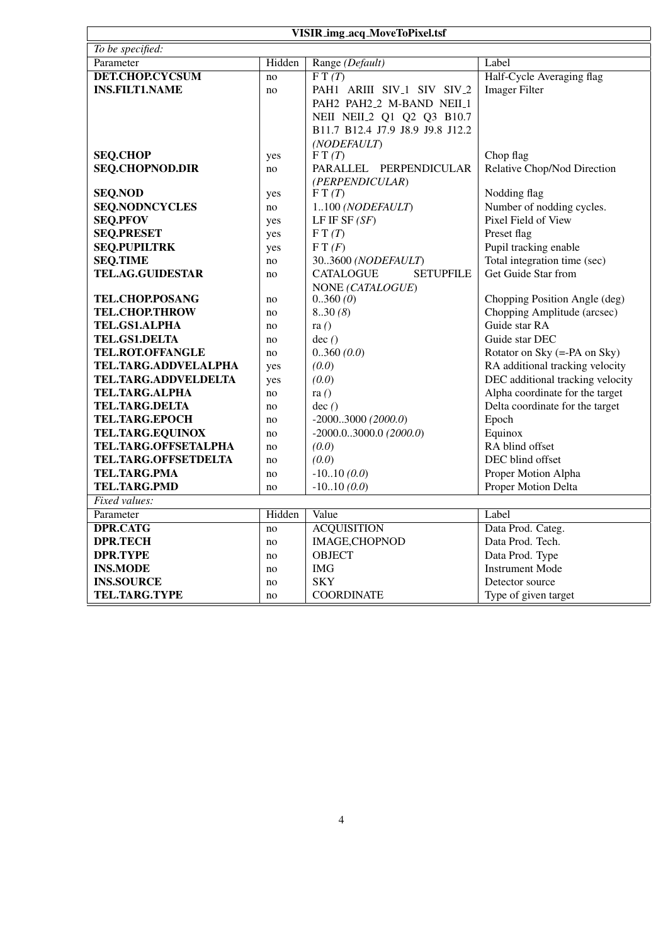| VISIR_img_acq_MoveToPixel.tsf           |           |                                                    |                                           |  |  |
|-----------------------------------------|-----------|----------------------------------------------------|-------------------------------------------|--|--|
| To be specified:                        |           |                                                    |                                           |  |  |
| Parameter                               | Hidden    | Range (Default)                                    | Label                                     |  |  |
| <b>DET.CHOP.CYCSUM</b>                  | no        | $\overline{FT(T)}$                                 | Half-Cycle Averaging flag                 |  |  |
| <b>INS.FILT1.NAME</b>                   | no        | PAH1 ARIII SIV <sub>-1</sub> SIV SIV <sub>-2</sub> | <b>Imager Filter</b>                      |  |  |
|                                         |           | PAH2 PAH2_2 M-BAND NEII_1                          |                                           |  |  |
|                                         |           | NEII NEII <sub>2</sub> Q1 Q2 Q3 B10.7              |                                           |  |  |
|                                         |           | B11.7 B12.4 J7.9 J8.9 J9.8 J12.2                   |                                           |  |  |
|                                         |           | (NODEFAULT)                                        |                                           |  |  |
| <b>SEQ.CHOP</b>                         | yes       | FT(T)                                              | Chop flag                                 |  |  |
| <b>SEQ.CHOPNOD.DIR</b>                  | no        | PARALLEL PERPENDICULAR                             | Relative Chop/Nod Direction               |  |  |
|                                         |           | (PERPENDICULAR)                                    |                                           |  |  |
| <b>SEQ.NOD</b><br><b>SEQ.NODNCYCLES</b> | yes       | FT(T)                                              | Nodding flag<br>Number of nodding cycles. |  |  |
| <b>SEQ.PFOV</b>                         | no        | 1100 (NODEFAULT)<br>LF IF SF $(SF)$                | Pixel Field of View                       |  |  |
| <b>SEQ.PRESET</b>                       | yes       | F T(T)                                             | Preset flag                               |  |  |
| <b>SEQ.PUPILTRK</b>                     | yes       | FT(F)                                              | Pupil tracking enable                     |  |  |
| <b>SEQ.TIME</b>                         | yes<br>no | 303600 (NODEFAULT)                                 | Total integration time (sec)              |  |  |
| <b>TEL.AG.GUIDESTAR</b>                 | no        | <b>CATALOGUE</b><br><b>SETUPFILE</b>               | Get Guide Star from                       |  |  |
|                                         |           | NONE (CATALOGUE)                                   |                                           |  |  |
| TEL.CHOP.POSANG                         | no        | 0.360(0)                                           | Chopping Position Angle (deg)             |  |  |
| <b>TEL.CHOP.THROW</b>                   | no        | 8.30(8)                                            | Chopping Amplitude (arcsec)               |  |  |
| TEL.GS1.ALPHA                           | no        | ra $()$                                            | Guide star RA                             |  |  |
| <b>TEL.GS1.DELTA</b>                    | no        | dec()                                              | Guide star DEC                            |  |  |
| <b>TEL.ROT.OFFANGLE</b>                 | no        | 0.360(0.0)                                         | Rotator on Sky (=-PA on Sky)              |  |  |
| TEL.TARG.ADDVELALPHA                    | yes       | (0.0)                                              | RA additional tracking velocity           |  |  |
| TEL.TARG.ADDVELDELTA                    | yes       | (0.0)                                              | DEC additional tracking velocity          |  |  |
| TEL.TARG.ALPHA                          | no        | ra $()$                                            | Alpha coordinate for the target           |  |  |
| <b>TEL.TARG.DELTA</b>                   | no        | dec()                                              | Delta coordinate for the target           |  |  |
| <b>TEL.TARG.EPOCH</b>                   | no        | $-20003000(2000.0)$                                | Epoch                                     |  |  |
| <b>TEL.TARG.EQUINOX</b>                 | no        | $-2000.03000.0$ (2000.0)                           | Equinox                                   |  |  |
| TEL.TARG.OFFSETALPHA                    | no        | (0.0)                                              | RA blind offset                           |  |  |
| TEL.TARG.OFFSETDELTA                    | no        | (0.0)                                              | DEC blind offset                          |  |  |
| <b>TEL.TARG.PMA</b>                     | no        | $-1010(0.0)$                                       | Proper Motion Alpha                       |  |  |
| <b>TEL.TARG.PMD</b>                     | no        | $-1010(0.0)$                                       | Proper Motion Delta                       |  |  |
| Fixed values:                           |           |                                                    |                                           |  |  |
| Parameter                               | Hidden    | Value                                              | Label                                     |  |  |
| <b>DPR.CATG</b>                         | no        | <b>ACQUISITION</b>                                 | Data Prod. Categ.                         |  |  |
| <b>DPR.TECH</b>                         | no        | IMAGE, CHOPNOD                                     | Data Prod. Tech.                          |  |  |
| <b>DPR.TYPE</b>                         | no        | <b>OBJECT</b>                                      | Data Prod. Type                           |  |  |
| <b>INS.MODE</b>                         | no        | <b>IMG</b>                                         | <b>Instrument Mode</b>                    |  |  |
| <b>INS.SOURCE</b>                       | no        | <b>SKY</b>                                         | Detector source                           |  |  |
| <b>TEL.TARG.TYPE</b>                    | no        | <b>COORDINATE</b>                                  | Type of given target                      |  |  |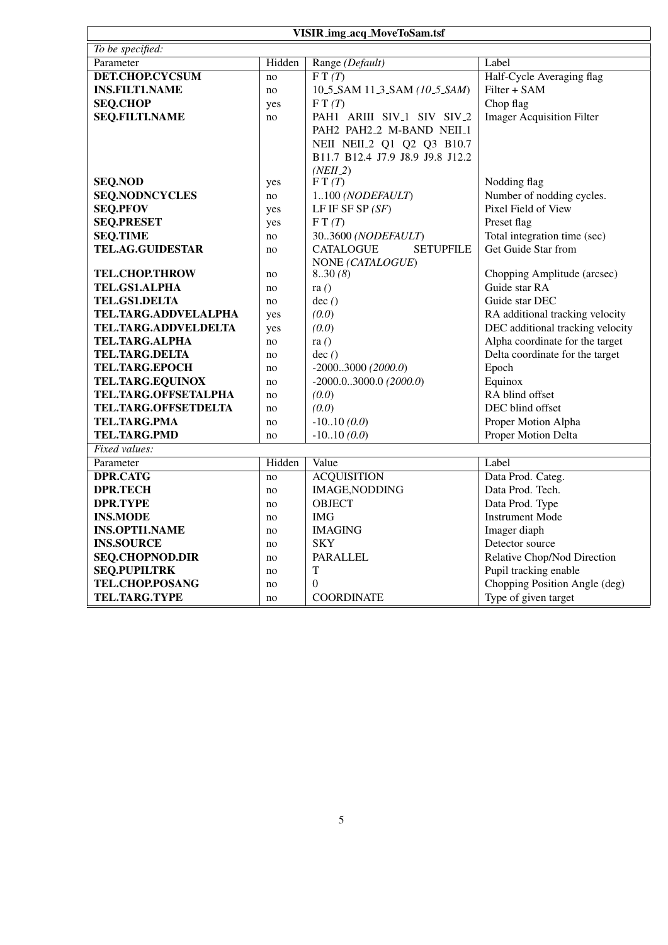| VISIR_img_acq_MoveToSam.tsf |          |                                                    |                                  |  |  |
|-----------------------------|----------|----------------------------------------------------|----------------------------------|--|--|
| To be specified:            |          |                                                    |                                  |  |  |
| Parameter                   | Hidden   | Range (Default)                                    | Label                            |  |  |
| <b>DET.CHOP.CYCSUM</b>      | no       | $\overline{F T(T)}$                                | Half-Cycle Averaging flag        |  |  |
| <b>INS.FILT1.NAME</b>       | no       | 10.5 SAM 11.3 SAM (10.5 SAM)                       | Filter + SAM                     |  |  |
| <b>SEQ.CHOP</b>             | yes      | FT(T)                                              | Chop flag                        |  |  |
| <b>SEQ.FILTI.NAME</b>       | no       | PAH1 ARIII SIV <sub>-1</sub> SIV SIV <sub>-2</sub> | <b>Imager Acquisition Filter</b> |  |  |
|                             |          | PAH2 PAH2.2 M-BAND NEIL1                           |                                  |  |  |
|                             |          | NEII NEII <sub>2</sub> Q1 Q2 Q3 B10.7              |                                  |  |  |
|                             |          | B11.7 B12.4 J7.9 J8.9 J9.8 J12.2                   |                                  |  |  |
|                             |          | $(NEII_2)$                                         |                                  |  |  |
| <b>SEQ.NOD</b>              | yes      | FT(T)                                              | Nodding flag                     |  |  |
| <b>SEQ.NODNCYCLES</b>       | no       | 1100 (NODEFAULT)                                   | Number of nodding cycles.        |  |  |
| <b>SEQ.PFOV</b>             | yes      | LF IF SF SP $(SF)$                                 | Pixel Field of View              |  |  |
| <b>SEQ.PRESET</b>           | yes      | FT(T)                                              | Preset flag                      |  |  |
| <b>SEQ.TIME</b>             | no       | 303600 (NODEFAULT)                                 | Total integration time (sec)     |  |  |
| <b>TEL.AG.GUIDESTAR</b>     | no       | <b>SETUPFILE</b><br><b>CATALOGUE</b>               | Get Guide Star from              |  |  |
| <b>TEL.CHOP.THROW</b>       |          | NONE (CATALOGUE)<br>830(8)                         | Chopping Amplitude (arcsec)      |  |  |
| TEL.GS1.ALPHA               | no<br>no | ra $()$                                            | Guide star RA                    |  |  |
| TEL.GS1.DELTA               | no       | dec()                                              | Guide star DEC                   |  |  |
| TEL.TARG.ADDVELALPHA        | yes      | (0.0)                                              | RA additional tracking velocity  |  |  |
| TEL.TARG.ADDVELDELTA        | yes      | (0.0)                                              | DEC additional tracking velocity |  |  |
| <b>TEL.TARG.ALPHA</b>       | no       | ra $()$                                            | Alpha coordinate for the target  |  |  |
| <b>TEL.TARG.DELTA</b>       | no       | dec()                                              | Delta coordinate for the target  |  |  |
| <b>TEL.TARG.EPOCH</b>       | no       | $-20003000(2000.0)$                                | Epoch                            |  |  |
| TEL.TARG.EQUINOX            | no       | $-2000.03000.0$ (2000.0)                           | Equinox                          |  |  |
| TEL.TARG.OFFSETALPHA        | no       | (0.0)                                              | RA blind offset                  |  |  |
| TEL.TARG.OFFSETDELTA        | no       | (0.0)                                              | DEC blind offset                 |  |  |
| TEL.TARG.PMA                | no       | $-1010(0.0)$                                       | Proper Motion Alpha              |  |  |
| <b>TEL.TARG.PMD</b>         | no       | $-1010(0.0)$                                       | Proper Motion Delta              |  |  |
| Fixed values:               |          |                                                    |                                  |  |  |
| Parameter                   | Hidden   | Value                                              | Label                            |  |  |
| <b>DPR.CATG</b>             | no       | <b>ACQUISITION</b>                                 | Data Prod. Categ.                |  |  |
| <b>DPR.TECH</b>             | no       | <b>IMAGE, NODDING</b>                              | Data Prod. Tech.                 |  |  |
| <b>DPR.TYPE</b>             | no       | <b>OBJECT</b>                                      | Data Prod. Type                  |  |  |
| <b>INS.MODE</b>             | no       | <b>IMG</b>                                         | <b>Instrument Mode</b>           |  |  |
| <b>INS.OPTI1.NAME</b>       | no       | <b>IMAGING</b>                                     | Imager diaph                     |  |  |
| <b>INS.SOURCE</b>           | no       | <b>SKY</b>                                         | Detector source                  |  |  |
| <b>SEQ.CHOPNOD.DIR</b>      | no       | <b>PARALLEL</b>                                    | Relative Chop/Nod Direction      |  |  |
| <b>SEQ.PUPILTRK</b>         | no       | T                                                  | Pupil tracking enable            |  |  |
| TEL.CHOP.POSANG             | no       | $\Omega$                                           | Chopping Position Angle (deg)    |  |  |
| <b>TEL.TARG.TYPE</b>        | no       | <b>COORDINATE</b>                                  | Type of given target             |  |  |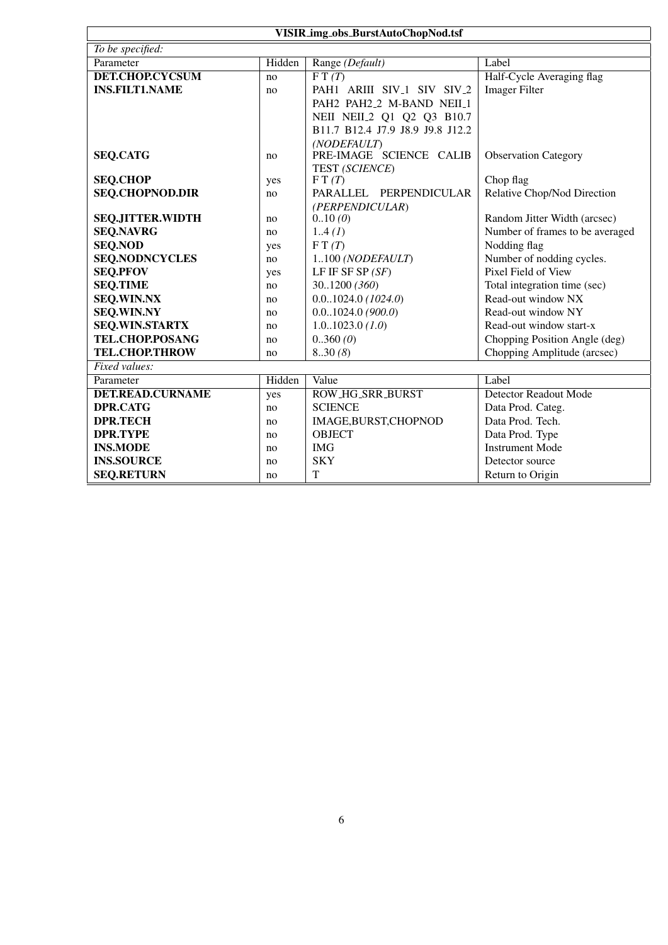| VISIR_img_obs_BurstAutoChopNod.tsf |           |                                                    |                                 |
|------------------------------------|-----------|----------------------------------------------------|---------------------------------|
| To be specified:                   |           |                                                    |                                 |
| Parameter                          | Hidden    | Range (Default)                                    | Label                           |
| <b>DET.CHOP.CYCSUM</b>             | no        | $\overline{FT(T)}$                                 | Half-Cycle Averaging flag       |
| <b>INS.FILT1.NAME</b>              | no        | PAH1 ARIII SIV <sub>-1</sub> SIV SIV <sub>-2</sub> | <b>Imager Filter</b>            |
|                                    |           | PAH2 PAH2_2 M-BAND NEII_1                          |                                 |
|                                    |           | NEII NEII 2 Q1 Q2 Q3 B10.7                         |                                 |
|                                    |           | B11.7 B12.4 J7.9 J8.9 J9.8 J12.2                   |                                 |
|                                    |           | (NODEFAULT)                                        |                                 |
| <b>SEQ.CATG</b>                    | no        | PRE-IMAGE SCIENCE CALIB                            | <b>Observation Category</b>     |
|                                    |           | TEST (SCIENCE)                                     |                                 |
| <b>SEQ.CHOP</b>                    | yes       | FT(T)                                              | Chop flag                       |
| <b>SEQ.CHOPNOD.DIR</b>             | no        | PARALLEL PERPENDICULAR                             | Relative Chop/Nod Direction     |
| <b>SEQ.JITTER.WIDTH</b>            |           | (PERPENDICULAR)<br>0.10(0)                         | Random Jitter Width (arcsec)    |
| <b>SEQ.NAVRG</b>                   | no        | 1.4(I)                                             | Number of frames to be averaged |
| <b>SEQ.NOD</b>                     | no        | FT(T)                                              | Nodding flag                    |
| <b>SEQ.NODNCYCLES</b>              | yes<br>no | 1100 (NODEFAULT)                                   | Number of nodding cycles.       |
| <b>SEQ.PFOV</b>                    |           | LF IF SF SP $(SF)$                                 | Pixel Field of View             |
| <b>SEQ.TIME</b>                    | yes<br>no | 301200 (360)                                       | Total integration time (sec)    |
| <b>SEQ.WIN.NX</b>                  | no        | $0.01024.0$ (1024.0)                               | Read-out window NX              |
| <b>SEQ.WIN.NY</b>                  | no        | 0.01024.0(900.0)                                   | Read-out window NY              |
| <b>SEQ.WIN.STARTX</b>              | no        | 1.01023.0(1.0)                                     | Read-out window start-x         |
| TEL.CHOP.POSANG                    | no        | 0.360(0)                                           | Chopping Position Angle (deg)   |
| <b>TEL.CHOP.THROW</b>              | no        | 830(8)                                             | Chopping Amplitude (arcsec)     |
| Fixed values:                      |           |                                                    |                                 |
| Parameter                          | Hidden    | Value                                              | Label                           |
| <b>DET.READ.CURNAME</b>            | yes       | ROW_HG_SRR_BURST                                   | <b>Detector Readout Mode</b>    |
| <b>DPR.CATG</b>                    | no        | <b>SCIENCE</b>                                     | Data Prod. Categ.               |
| <b>DPR.TECH</b>                    | no        | IMAGE, BURST, CHOPNOD                              | Data Prod. Tech.                |
| <b>DPR.TYPE</b>                    | no        | <b>OBJECT</b>                                      | Data Prod. Type                 |
| <b>INS.MODE</b>                    | no        | <b>IMG</b>                                         | <b>Instrument Mode</b>          |
| <b>INS.SOURCE</b>                  | no        | <b>SKY</b>                                         | Detector source                 |
| <b>SEQ.RETURN</b>                  | no        | T                                                  | Return to Origin                |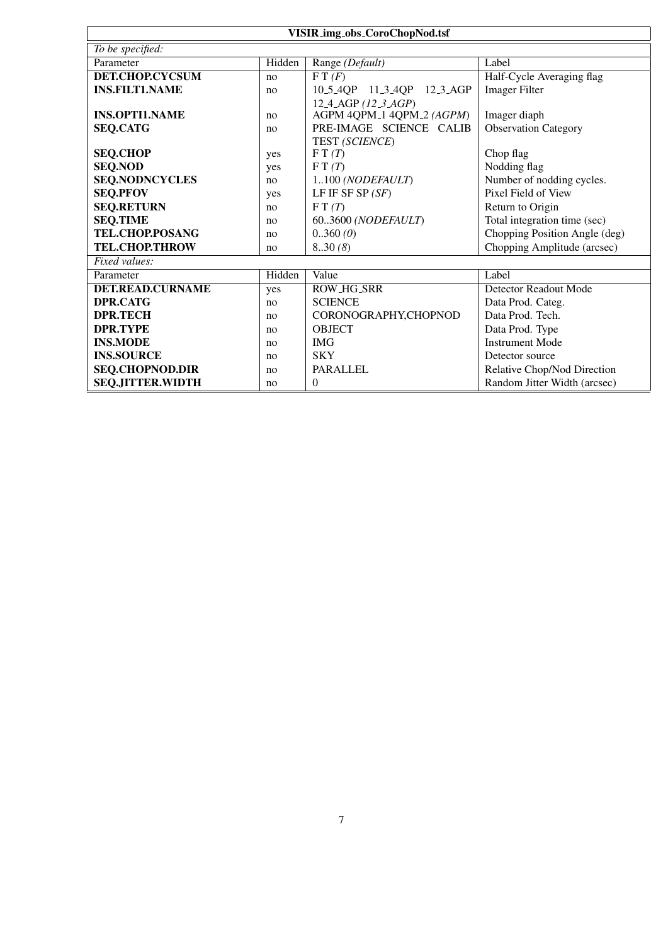| VISIR_img_obs_CoroChopNod.tsf |        |                                                     |                               |  |
|-------------------------------|--------|-----------------------------------------------------|-------------------------------|--|
| To be specified:              |        |                                                     |                               |  |
| Parameter                     | Hidden | Range (Default)                                     | Label                         |  |
| DET.CHOP.CYCSUM               | no     | FT(F)                                               | Half-Cycle Averaging flag     |  |
| <b>INS.FILT1.NAME</b>         | no     | 10.5.4QP 11.3.4QP 12.3.AGP                          | <b>Imager Filter</b>          |  |
|                               |        | 12 <sub>-4</sub> -AGP $(12 \text{ }3 \text{ } AGP)$ |                               |  |
| <b>INS.OPTI1.NAME</b>         | no     | AGPM 4QPM_1 4QPM_2 (AGPM)                           | Imager diaph                  |  |
| <b>SEQ.CATG</b>               | no     | PRE-IMAGE SCIENCE CALIB                             | <b>Observation Category</b>   |  |
|                               |        | TEST (SCIENCE)                                      |                               |  |
| <b>SEQ.CHOP</b>               | yes    | FT(T)                                               | Chop flag                     |  |
| <b>SEQ.NOD</b>                | yes    | FT(T)                                               | Nodding flag                  |  |
| <b>SEQ.NODNCYCLES</b>         | no     | 1100 (NODEFAULT)                                    | Number of nodding cycles.     |  |
| <b>SEQ.PFOV</b>               | yes    | LF IF SF SP $(SF)$                                  | Pixel Field of View           |  |
| <b>SEQ.RETURN</b>             | no     | FT(T)                                               | Return to Origin              |  |
| <b>SEQ.TIME</b>               | no     | 603600 (NODEFAULT)                                  | Total integration time (sec)  |  |
| TEL.CHOP.POSANG               | no     | 0.360(0)                                            | Chopping Position Angle (deg) |  |
| <b>TEL.CHOP.THROW</b>         | no     | 8.30(8)                                             | Chopping Amplitude (arcsec)   |  |
| Fixed values:                 |        |                                                     |                               |  |
| Parameter                     | Hidden | Value                                               | Label                         |  |
| <b>DET.READ.CURNAME</b>       | yes    | <b>ROW_HG_SRR</b>                                   | Detector Readout Mode         |  |
| <b>DPR.CATG</b>               | no     | <b>SCIENCE</b>                                      | Data Prod. Categ.             |  |
| <b>DPR.TECH</b>               | no     | CORONOGRAPHY,CHOPNOD                                | Data Prod. Tech.              |  |
| <b>DPR.TYPE</b>               | no     | <b>OBJECT</b>                                       | Data Prod. Type               |  |
| <b>INS.MODE</b>               | no     | <b>IMG</b>                                          | <b>Instrument Mode</b>        |  |
| <b>INS.SOURCE</b>             | no     | <b>SKY</b>                                          | Detector source               |  |
| <b>SEQ.CHOPNOD.DIR</b>        | no     | <b>PARALLEL</b>                                     | Relative Chop/Nod Direction   |  |
| <b>SEQ.JITTER.WIDTH</b>       | no     | $\theta$                                            | Random Jitter Width (arcsec)  |  |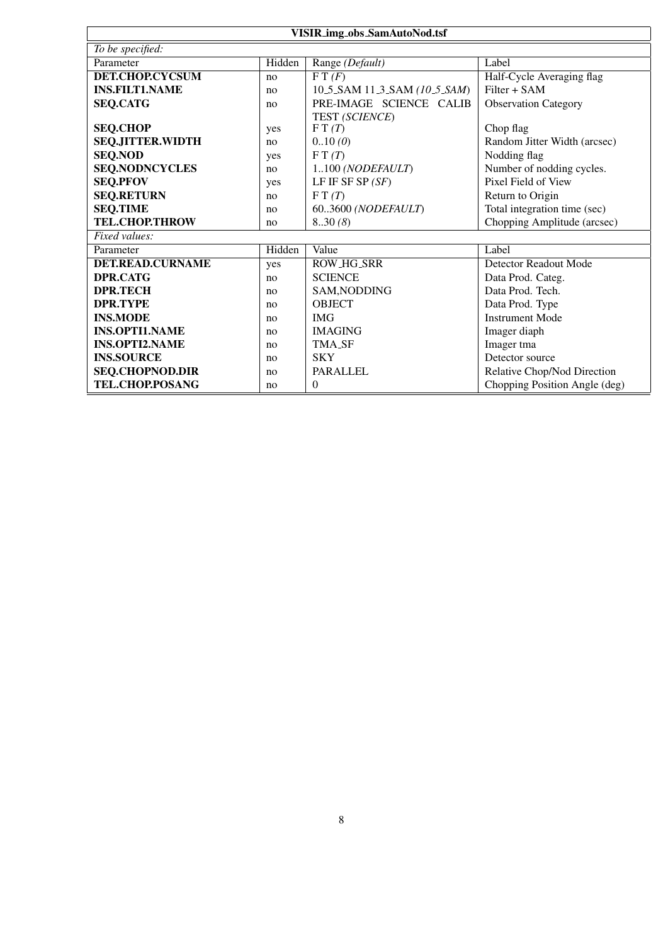| <b>VISIR_img_obs_SamAutoNod.tsf</b> |        |                                       |                               |
|-------------------------------------|--------|---------------------------------------|-------------------------------|
| To be specified:                    |        |                                       |                               |
| Parameter                           | Hidden | Range (Default)                       | Label                         |
| <b>DET.CHOP.CYCSUM</b>              | no     | $\overline{\mathrm{F} \mathrm{T}(F)}$ | Half-Cycle Averaging flag     |
| <b>INS.FILT1.NAME</b>               | no     | 10.5.SAM 11.3.SAM (10.5.SAM)          | $Filter + SAM$                |
| <b>SEQ.CATG</b>                     | no     | PRE-IMAGE SCIENCE CALIB               | <b>Observation Category</b>   |
|                                     |        | TEST (SCIENCE)                        |                               |
| <b>SEQ.CHOP</b>                     | yes    | FT(T)                                 | Chop flag                     |
| <b>SEQ.JITTER.WIDTH</b>             | no     | 0.10(0)                               | Random Jitter Width (arcsec)  |
| <b>SEQ.NOD</b>                      | yes    | FT(T)                                 | Nodding flag                  |
| <b>SEQ.NODNCYCLES</b>               | no     | 1100 (NODEFAULT)                      | Number of nodding cycles.     |
| <b>SEQ.PFOV</b>                     | yes    | LF IF SF SP $(SF)$                    | Pixel Field of View           |
| <b>SEQ.RETURN</b>                   | no     | F T(T)                                | Return to Origin              |
| <b>SEQ.TIME</b>                     | no     | 603600 (NODEFAULT)                    | Total integration time (sec)  |
| <b>TEL.CHOP.THROW</b>               | no     | 8.30(8)                               | Chopping Amplitude (arcsec)   |
| Fixed values:                       |        |                                       |                               |
| Parameter                           | Hidden | Value                                 | Label                         |
| <b>DET.READ.CURNAME</b>             | yes    | <b>ROW_HG_SRR</b>                     | Detector Readout Mode         |
| <b>DPR.CATG</b>                     | no     | <b>SCIENCE</b>                        | Data Prod. Categ.             |
| <b>DPR.TECH</b>                     | no     | SAM, NODDING                          | Data Prod. Tech.              |
| <b>DPR.TYPE</b>                     | no     | <b>OBJECT</b>                         | Data Prod. Type               |
| <b>INS.MODE</b>                     | no     | <b>IMG</b>                            | <b>Instrument Mode</b>        |
| <b>INS.OPTI1.NAME</b>               | no     | <b>IMAGING</b>                        | Imager diaph                  |
| <b>INS.OPTI2.NAME</b>               | no     | <b>TMA_SF</b>                         | Imager tma                    |
| <b>INS.SOURCE</b>                   | no     | <b>SKY</b>                            | Detector source               |
| <b>SEQ.CHOPNOD.DIR</b>              | no     | <b>PARALLEL</b>                       | Relative Chop/Nod Direction   |
| TEL.CHOP.POSANG                     | no     | $\overline{0}$                        | Chopping Position Angle (deg) |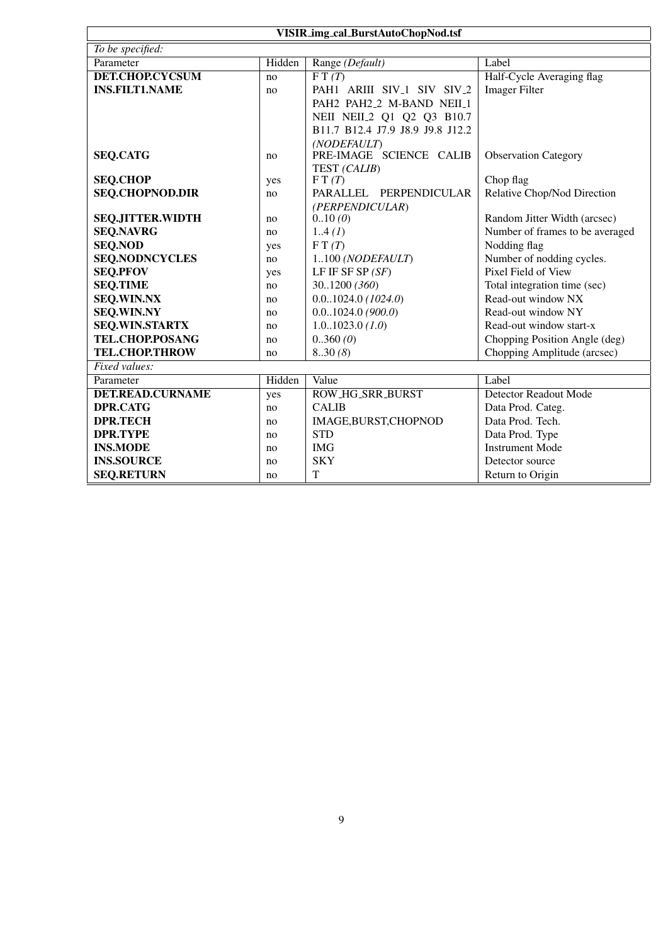| VISIR_img_cal_BurstAutoChopNod.tsf |        |                                                    |                                 |
|------------------------------------|--------|----------------------------------------------------|---------------------------------|
| To be specified:                   |        |                                                    |                                 |
| Parameter                          | Hidden | Range (Default)                                    | Label                           |
| <b>DET.CHOP.CYCSUM</b>             | no     | $\overline{FT(T)}$                                 | Half-Cycle Averaging flag       |
| <b>INS.FILT1.NAME</b>              | no     | PAH1 ARIII SIV <sub>-1</sub> SIV SIV <sub>-2</sub> | <b>Imager Filter</b>            |
|                                    |        | PAH2 PAH2_2 M-BAND NEIL_1                          |                                 |
|                                    |        | NEII NEII 2 Q1 Q2 Q3 B10.7                         |                                 |
|                                    |        | B11.7 B12.4 J7.9 J8.9 J9.8 J12.2                   |                                 |
|                                    |        | (NODEFAULT)                                        |                                 |
| <b>SEQ.CATG</b>                    | no     | PRE-IMAGE SCIENCE CALIB                            | <b>Observation Category</b>     |
|                                    |        | TEST (CALIB)                                       |                                 |
| <b>SEQ.CHOP</b>                    | yes    | FT(T)                                              | Chop flag                       |
| <b>SEQ.CHOPNOD.DIR</b>             | no     | PARALLEL PERPENDICULAR                             | Relative Chop/Nod Direction     |
| <b>SEQ.JITTER.WIDTH</b>            | no     | (PERPENDICULAR)<br>0.10(0)                         | Random Jitter Width (arcsec)    |
| <b>SEQ.NAVRG</b>                   | no     | 1.4(I)                                             | Number of frames to be averaged |
| <b>SEQ.NOD</b>                     | yes    | FT(T)                                              | Nodding flag                    |
| <b>SEQ.NODNCYCLES</b>              | no     | 1100 (NODEFAULT)                                   | Number of nodding cycles.       |
| <b>SEQ.PFOV</b>                    | yes    | LF IF SF SP $(SF)$                                 | Pixel Field of View             |
| <b>SEQ.TIME</b>                    | no     | 301200 (360)                                       | Total integration time (sec)    |
| <b>SEQ.WIN.NX</b>                  | no     | $0.01024.0$ (1024.0)                               | Read-out window NX              |
| <b>SEQ.WIN.NY</b>                  | no     | 0.01024.0(900.0)                                   | Read-out window NY              |
| <b>SEQ.WIN.STARTX</b>              | no     | 1.01023.0(1.0)                                     | Read-out window start-x         |
| TEL.CHOP.POSANG                    | no     | 0.360(0)                                           | Chopping Position Angle (deg)   |
| <b>TEL.CHOP.THROW</b>              | no     | 8.30(8)                                            | Chopping Amplitude (arcsec)     |
| Fixed values:                      |        |                                                    |                                 |
| Parameter                          | Hidden | Value                                              | Label                           |
| <b>DET.READ.CURNAME</b>            | yes    | <b>ROW_HG_SRR_BURST</b>                            | Detector Readout Mode           |
| <b>DPR.CATG</b>                    | no     | <b>CALIB</b>                                       | Data Prod. Categ.               |
| <b>DPR.TECH</b>                    | no     | IMAGE, BURST, CHOPNOD                              | Data Prod. Tech.                |
| <b>DPR.TYPE</b>                    | no     | <b>STD</b>                                         | Data Prod. Type                 |
| <b>INS.MODE</b>                    | no     | <b>IMG</b>                                         | <b>Instrument Mode</b>          |
| <b>INS.SOURCE</b>                  | no     | <b>SKY</b>                                         | Detector source                 |
| <b>SEQ.RETURN</b>                  | no     | T                                                  | Return to Origin                |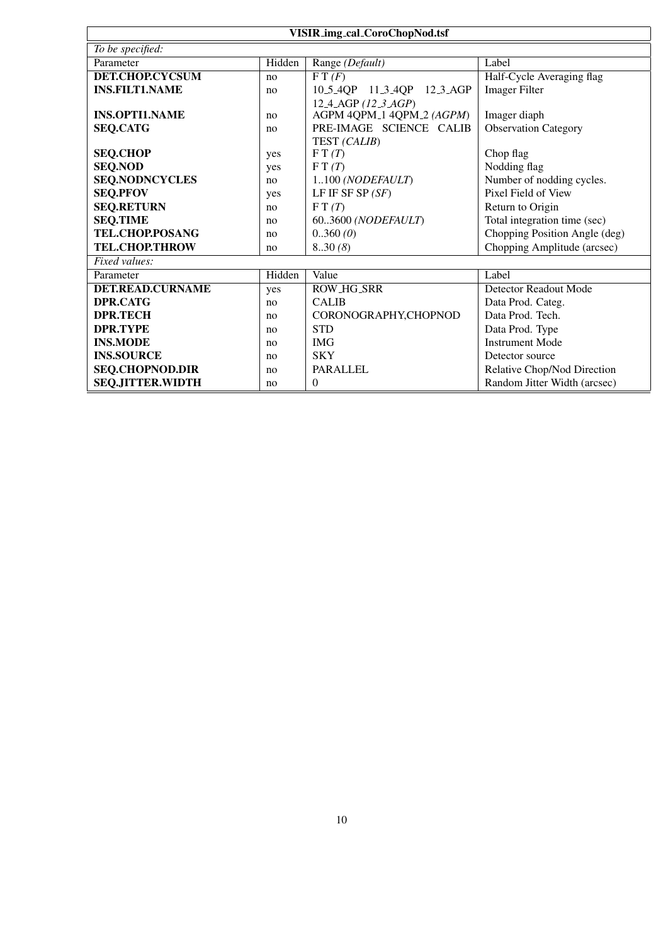| <b>VISIR_img_cal_CoroChopNod.tsf</b> |        |                                                     |                               |  |
|--------------------------------------|--------|-----------------------------------------------------|-------------------------------|--|
| To be specified:                     |        |                                                     |                               |  |
| Parameter                            | Hidden | Range (Default)                                     | Label                         |  |
| DET.CHOP.CYCSUM                      | no     | FT(F)                                               | Half-Cycle Averaging flag     |  |
| <b>INS.FILT1.NAME</b>                | no     | 10.5.4QP 11.3.4QP 12.3.AGP                          | <b>Imager Filter</b>          |  |
|                                      |        | 12 <sub>-4</sub> -AGP $(12 \text{ }3 \text{ } AGP)$ |                               |  |
| <b>INS.OPTI1.NAME</b>                | no     | AGPM 4QPM_1 4QPM_2 (AGPM)                           | Imager diaph                  |  |
| <b>SEQ.CATG</b>                      | no     | PRE-IMAGE SCIENCE CALIB                             | <b>Observation Category</b>   |  |
|                                      |        | TEST (CALIB)                                        |                               |  |
| <b>SEQ.CHOP</b>                      | yes    | FT(T)                                               | Chop flag                     |  |
| <b>SEQ.NOD</b>                       | yes    | FT(T)                                               | Nodding flag                  |  |
| <b>SEQ.NODNCYCLES</b>                | no     | 1100 (NODEFAULT)                                    | Number of nodding cycles.     |  |
| <b>SEQ.PFOV</b>                      | yes    | LF IF SF SP $(SF)$                                  | Pixel Field of View           |  |
| <b>SEQ.RETURN</b>                    | no     | FT(T)                                               | Return to Origin              |  |
| <b>SEQ.TIME</b>                      | no     | 603600 (NODEFAULT)                                  | Total integration time (sec)  |  |
| TEL.CHOP.POSANG                      | no     | 0.360(0)                                            | Chopping Position Angle (deg) |  |
| <b>TEL.CHOP.THROW</b>                | no     | 8.30(8)                                             | Chopping Amplitude (arcsec)   |  |
| Fixed values:                        |        |                                                     |                               |  |
| Parameter                            | Hidden | Value                                               | Label                         |  |
| <b>DET.READ.CURNAME</b>              | yes    | <b>ROW_HG_SRR</b>                                   | Detector Readout Mode         |  |
| <b>DPR.CATG</b>                      | no     | <b>CALIB</b>                                        | Data Prod. Categ.             |  |
| <b>DPR.TECH</b>                      | no     | CORONOGRAPHY,CHOPNOD                                | Data Prod. Tech.              |  |
| <b>DPR.TYPE</b>                      | no     | <b>STD</b>                                          | Data Prod. Type               |  |
| <b>INS.MODE</b>                      | no     | <b>IMG</b>                                          | <b>Instrument Mode</b>        |  |
| <b>INS.SOURCE</b>                    | no     | <b>SKY</b>                                          | Detector source               |  |
| <b>SEQ.CHOPNOD.DIR</b>               | no     | <b>PARALLEL</b>                                     | Relative Chop/Nod Direction   |  |
| <b>SEQ.JITTER.WIDTH</b>              | no     | $\theta$                                            | Random Jitter Width (arcsec)  |  |